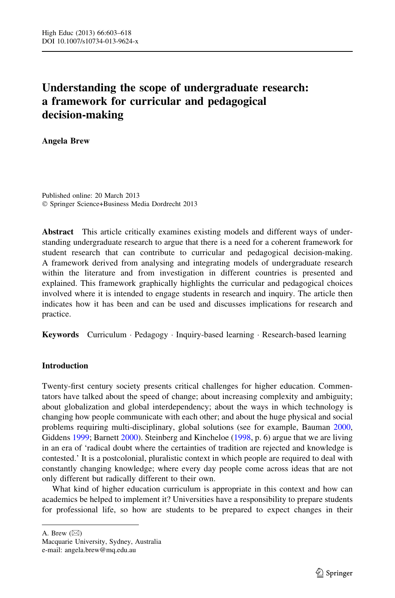# Understanding the scope of undergraduate research: a framework for curricular and pedagogical decision-making

Angela Brew

Published online: 20 March 2013 - Springer Science+Business Media Dordrecht 2013

Abstract This article critically examines existing models and different ways of understanding undergraduate research to argue that there is a need for a coherent framework for student research that can contribute to curricular and pedagogical decision-making. A framework derived from analysing and integrating models of undergraduate research within the literature and from investigation in different countries is presented and explained. This framework graphically highlights the curricular and pedagogical choices involved where it is intended to engage students in research and inquiry. The article then indicates how it has been and can be used and discusses implications for research and practice.

Keywords Curriculum · Pedagogy · Inquiry-based learning · Research-based learning

# **Introduction**

Twenty-first century society presents critical challenges for higher education. Commentators have talked about the speed of change; about increasing complexity and ambiguity; about globalization and global interdependency; about the ways in which technology is changing how people communicate with each other; and about the huge physical and social problems requiring multi-disciplinary, global solutions (see for example, Bauman [2000](#page-14-0), Giddens [1999](#page-14-0); Barnett [2000\)](#page-14-0). Steinberg and Kincheloe [\(1998](#page-15-0), p. 6) argue that we are living in an era of 'radical doubt where the certainties of tradition are rejected and knowledge is contested.' It is a postcolonial, pluralistic context in which people are required to deal with constantly changing knowledge; where every day people come across ideas that are not only different but radically different to their own.

What kind of higher education curriculum is appropriate in this context and how can academics be helped to implement it? Universities have a responsibility to prepare students for professional life, so how are students to be prepared to expect changes in their

A. Brew  $(\boxtimes)$ 

Macquarie University, Sydney, Australia e-mail: angela.brew@mq.edu.au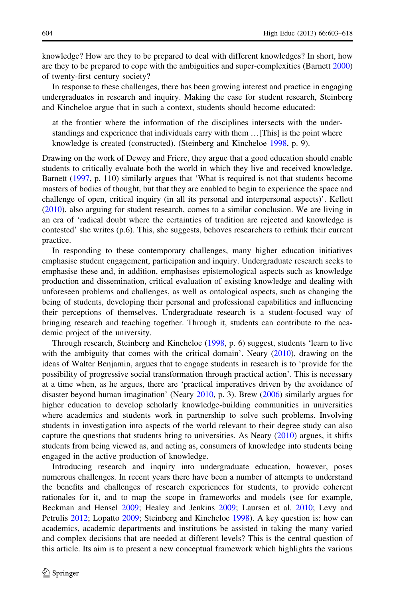knowledge? How are they to be prepared to deal with different knowledges? In short, how are they to be prepared to cope with the ambiguities and super-complexities (Barnett [2000](#page-14-0)) of twenty-first century society?

In response to these challenges, there has been growing interest and practice in engaging undergraduates in research and inquiry. Making the case for student research, Steinberg and Kincheloe argue that in such a context, students should become educated:

at the frontier where the information of the disciplines intersects with the understandings and experience that individuals carry with them …[This] is the point where knowledge is created (constructed). (Steinberg and Kincheloe [1998](#page-15-0), p. 9).

Drawing on the work of Dewey and Friere, they argue that a good education should enable students to critically evaluate both the world in which they live and received knowledge. Barnett ([1997,](#page-14-0) p. 110) similarly argues that 'What is required is not that students become masters of bodies of thought, but that they are enabled to begin to experience the space and challenge of open, critical inquiry (in all its personal and interpersonal aspects)'. Kellett ([2010\)](#page-14-0), also arguing for student research, comes to a similar conclusion. We are living in an era of 'radical doubt where the certainties of tradition are rejected and knowledge is contested' she writes (p.6). This, she suggests, behoves researchers to rethink their current practice.

In responding to these contemporary challenges, many higher education initiatives emphasise student engagement, participation and inquiry. Undergraduate research seeks to emphasise these and, in addition, emphasises epistemological aspects such as knowledge production and dissemination, critical evaluation of existing knowledge and dealing with unforeseen problems and challenges, as well as ontological aspects, such as changing the being of students, developing their personal and professional capabilities and influencing their perceptions of themselves. Undergraduate research is a student-focused way of bringing research and teaching together. Through it, students can contribute to the academic project of the university.

Through research, Steinberg and Kincheloe [\(1998,](#page-15-0) p. 6) suggest, students 'learn to live with the ambiguity that comes with the critical domain'. Neary ([2010\)](#page-15-0), drawing on the ideas of Walter Benjamin, argues that to engage students in research is to 'provide for the possibility of progressive social transformation through practical action'. This is necessary at a time when, as he argues, there are 'practical imperatives driven by the avoidance of disaster beyond human imagination' (Neary [2010,](#page-15-0) p. 3). Brew [\(2006](#page-14-0)) similarly argues for higher education to develop scholarly knowledge-building communities in universities where academics and students work in partnership to solve such problems. Involving students in investigation into aspects of the world relevant to their degree study can also capture the questions that students bring to universities. As Neary [\(2010](#page-15-0)) argues, it shifts students from being viewed as, and acting as, consumers of knowledge into students being engaged in the active production of knowledge.

Introducing research and inquiry into undergraduate education, however, poses numerous challenges. In recent years there have been a number of attempts to understand the benefits and challenges of research experiences for students, to provide coherent rationales for it, and to map the scope in frameworks and models (see for example, Beckman and Hensel [2009;](#page-14-0) Healey and Jenkins [2009](#page-14-0); Laursen et al. [2010](#page-15-0); Levy and Petrulis [2012;](#page-15-0) Lopatto [2009;](#page-15-0) Steinberg and Kincheloe [1998\)](#page-15-0). A key question is: how can academics, academic departments and institutions be assisted in taking the many varied and complex decisions that are needed at different levels? This is the central question of this article. Its aim is to present a new conceptual framework which highlights the various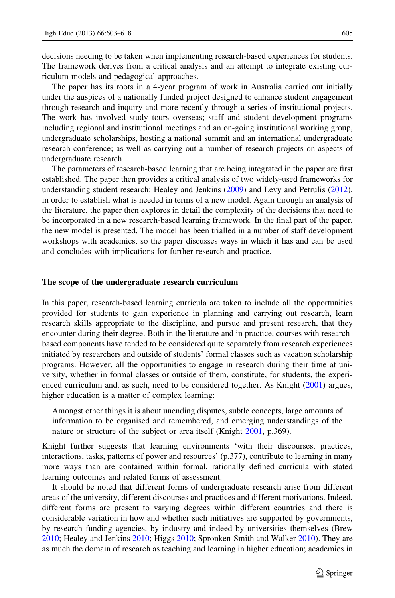decisions needing to be taken when implementing research-based experiences for students. The framework derives from a critical analysis and an attempt to integrate existing curriculum models and pedagogical approaches.

The paper has its roots in a 4-year program of work in Australia carried out initially under the auspices of a nationally funded project designed to enhance student engagement through research and inquiry and more recently through a series of institutional projects. The work has involved study tours overseas; staff and student development programs including regional and institutional meetings and an on-going institutional working group, undergraduate scholarships, hosting a national summit and an international undergraduate research conference; as well as carrying out a number of research projects on aspects of undergraduate research.

The parameters of research-based learning that are being integrated in the paper are first established. The paper then provides a critical analysis of two widely-used frameworks for understanding student research: Healey and Jenkins [\(2009](#page-14-0)) and Levy and Petrulis [\(2012](#page-15-0)), in order to establish what is needed in terms of a new model. Again through an analysis of the literature, the paper then explores in detail the complexity of the decisions that need to be incorporated in a new research-based learning framework. In the final part of the paper, the new model is presented. The model has been trialled in a number of staff development workshops with academics, so the paper discusses ways in which it has and can be used and concludes with implications for further research and practice.

#### The scope of the undergraduate research curriculum

In this paper, research-based learning curricula are taken to include all the opportunities provided for students to gain experience in planning and carrying out research, learn research skills appropriate to the discipline, and pursue and present research, that they encounter during their degree. Both in the literature and in practice, courses with researchbased components have tended to be considered quite separately from research experiences initiated by researchers and outside of students' formal classes such as vacation scholarship programs. However, all the opportunities to engage in research during their time at university, whether in formal classes or outside of them, constitute, for students, the experi-enced curriculum and, as such, need to be considered together. As Knight [\(2001](#page-15-0)) argues, higher education is a matter of complex learning:

Amongst other things it is about unending disputes, subtle concepts, large amounts of information to be organised and remembered, and emerging understandings of the nature or structure of the subject or area itself (Knight [2001](#page-15-0), p.369).

Knight further suggests that learning environments 'with their discourses, practices, interactions, tasks, patterns of power and resources' (p.377), contribute to learning in many more ways than are contained within formal, rationally defined curricula with stated learning outcomes and related forms of assessment.

It should be noted that different forms of undergraduate research arise from different areas of the university, different discourses and practices and different motivations. Indeed, different forms are present to varying degrees within different countries and there is considerable variation in how and whether such initiatives are supported by governments, by research funding agencies, by industry and indeed by universities themselves (Brew [2010;](#page-14-0) Healey and Jenkins [2010](#page-14-0); Higgs [2010](#page-14-0); Spronken-Smith and Walker [2010\)](#page-15-0). They are as much the domain of research as teaching and learning in higher education; academics in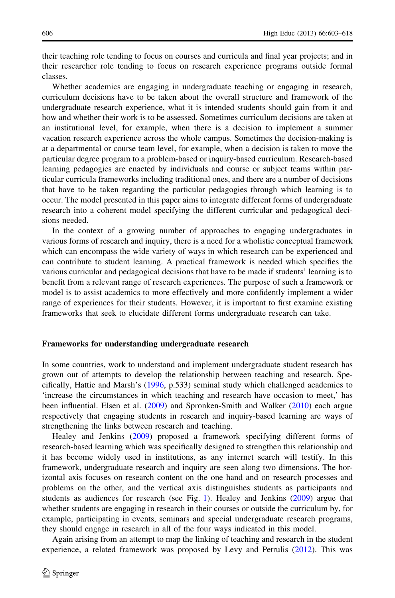their teaching role tending to focus on courses and curricula and final year projects; and in their researcher role tending to focus on research experience programs outside formal classes.

Whether academics are engaging in undergraduate teaching or engaging in research, curriculum decisions have to be taken about the overall structure and framework of the undergraduate research experience, what it is intended students should gain from it and how and whether their work is to be assessed. Sometimes curriculum decisions are taken at an institutional level, for example, when there is a decision to implement a summer vacation research experience across the whole campus. Sometimes the decision-making is at a departmental or course team level, for example, when a decision is taken to move the particular degree program to a problem-based or inquiry-based curriculum. Research-based learning pedagogies are enacted by individuals and course or subject teams within particular curricula frameworks including traditional ones, and there are a number of decisions that have to be taken regarding the particular pedagogies through which learning is to occur. The model presented in this paper aims to integrate different forms of undergraduate research into a coherent model specifying the different curricular and pedagogical decisions needed.

In the context of a growing number of approaches to engaging undergraduates in various forms of research and inquiry, there is a need for a wholistic conceptual framework which can encompass the wide variety of ways in which research can be experienced and can contribute to student learning. A practical framework is needed which specifies the various curricular and pedagogical decisions that have to be made if students' learning is to benefit from a relevant range of research experiences. The purpose of such a framework or model is to assist academics to more effectively and more confidently implement a wider range of experiences for their students. However, it is important to first examine existing frameworks that seek to elucidate different forms undergraduate research can take.

## Frameworks for understanding undergraduate research

In some countries, work to understand and implement undergraduate student research has grown out of attempts to develop the relationship between teaching and research. Specifically, Hattie and Marsh's [\(1996](#page-14-0), p.533) seminal study which challenged academics to 'increase the circumstances in which teaching and research have occasion to meet,' has been influential. Elsen et al. [\(2009\)](#page-14-0) and Spronken-Smith and Walker ([2010\)](#page-15-0) each argue respectively that engaging students in research and inquiry-based learning are ways of strengthening the links between research and teaching.

Healey and Jenkins ([2009](#page-14-0)) proposed a framework specifying different forms of research-based learning which was specifically designed to strengthen this relationship and it has become widely used in institutions, as any internet search will testify. In this framework, undergraduate research and inquiry are seen along two dimensions. The horizontal axis focuses on research content on the one hand and on research processes and problems on the other, and the vertical axis distinguishes students as participants and students as audiences for research (see Fig. [1\)](#page-4-0). Healey and Jenkins [\(2009](#page-14-0)) argue that whether students are engaging in research in their courses or outside the curriculum by, for example, participating in events, seminars and special undergraduate research programs, they should engage in research in all of the four ways indicated in this model.

Again arising from an attempt to map the linking of teaching and research in the student experience, a related framework was proposed by Levy and Petrulis [\(2012](#page-15-0)). This was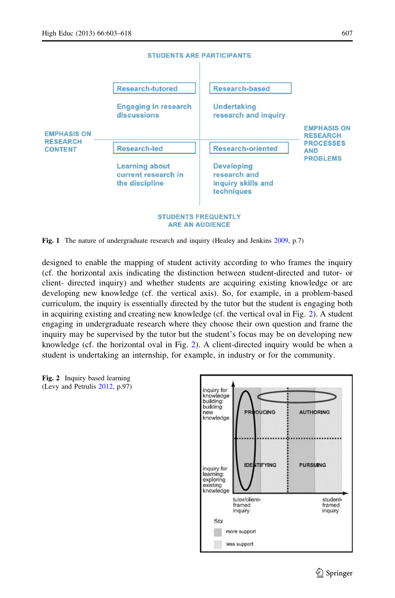<span id="page-4-0"></span>

#### Fig. 1 The nature of undergraduate research and inquiry (Healey and Jenkins [2009,](#page-14-0) p.7)

designed to enable the mapping of student activity according to who frames the inquiry (cf. the horizontal axis indicating the distinction between student-directed and tutor- or client- directed inquiry) and whether students are acquiring existing knowledge or are developing new knowledge (cf. the vertical axis). So, for example, in a problem-based curriculum, the inquiry is essentially directed by the tutor but the student is engaging both in acquiring existing and creating new knowledge (cf. the vertical oval in Fig. 2). A student engaging in undergraduate research where they choose their own question and frame the inquiry may be supervised by the tutor but the student's focus may be on developing new knowledge (cf. the horizontal oval in Fig. 2). A client-directed inquiry would be when a student is undertaking an internship, for example, in industry or for the community.



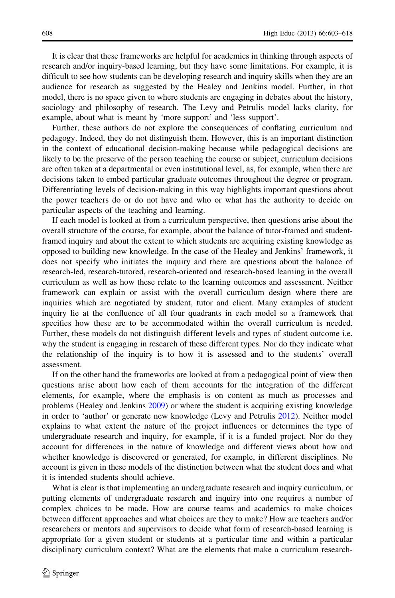It is clear that these frameworks are helpful for academics in thinking through aspects of research and/or inquiry-based learning, but they have some limitations. For example, it is difficult to see how students can be developing research and inquiry skills when they are an audience for research as suggested by the Healey and Jenkins model. Further, in that model, there is no space given to where students are engaging in debates about the history, sociology and philosophy of research. The Levy and Petrulis model lacks clarity, for example, about what is meant by 'more support' and 'less support'.

Further, these authors do not explore the consequences of conflating curriculum and pedagogy. Indeed, they do not distinguish them. However, this is an important distinction in the context of educational decision-making because while pedagogical decisions are likely to be the preserve of the person teaching the course or subject, curriculum decisions are often taken at a departmental or even institutional level, as, for example, when there are decisions taken to embed particular graduate outcomes throughout the degree or program. Differentiating levels of decision-making in this way highlights important questions about the power teachers do or do not have and who or what has the authority to decide on particular aspects of the teaching and learning.

If each model is looked at from a curriculum perspective, then questions arise about the overall structure of the course, for example, about the balance of tutor-framed and studentframed inquiry and about the extent to which students are acquiring existing knowledge as opposed to building new knowledge. In the case of the Healey and Jenkins' framework, it does not specify who initiates the inquiry and there are questions about the balance of research-led, research-tutored, research-oriented and research-based learning in the overall curriculum as well as how these relate to the learning outcomes and assessment. Neither framework can explain or assist with the overall curriculum design where there are inquiries which are negotiated by student, tutor and client. Many examples of student inquiry lie at the confluence of all four quadrants in each model so a framework that specifies how these are to be accommodated within the overall curriculum is needed. Further, these models do not distinguish different levels and types of student outcome i.e. why the student is engaging in research of these different types. Nor do they indicate what the relationship of the inquiry is to how it is assessed and to the students' overall assessment.

If on the other hand the frameworks are looked at from a pedagogical point of view then questions arise about how each of them accounts for the integration of the different elements, for example, where the emphasis is on content as much as processes and problems (Healey and Jenkins [2009\)](#page-14-0) or where the student is acquiring existing knowledge in order to 'author' or generate new knowledge (Levy and Petrulis [2012\)](#page-15-0). Neither model explains to what extent the nature of the project influences or determines the type of undergraduate research and inquiry, for example, if it is a funded project. Nor do they account for differences in the nature of knowledge and different views about how and whether knowledge is discovered or generated, for example, in different disciplines. No account is given in these models of the distinction between what the student does and what it is intended students should achieve.

What is clear is that implementing an undergraduate research and inquiry curriculum, or putting elements of undergraduate research and inquiry into one requires a number of complex choices to be made. How are course teams and academics to make choices between different approaches and what choices are they to make? How are teachers and/or researchers or mentors and supervisors to decide what form of research-based learning is appropriate for a given student or students at a particular time and within a particular disciplinary curriculum context? What are the elements that make a curriculum research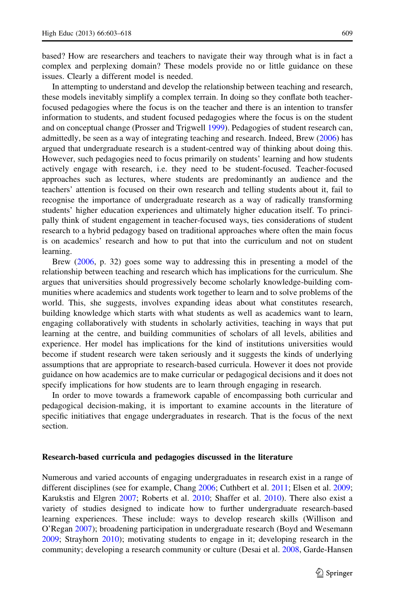based? How are researchers and teachers to navigate their way through what is in fact a complex and perplexing domain? These models provide no or little guidance on these issues. Clearly a different model is needed.

In attempting to understand and develop the relationship between teaching and research, these models inevitably simplify a complex terrain. In doing so they conflate both teacherfocused pedagogies where the focus is on the teacher and there is an intention to transfer information to students, and student focused pedagogies where the focus is on the student and on conceptual change (Prosser and Trigwell [1999](#page-15-0)). Pedagogies of student research can, admittedly, be seen as a way of integrating teaching and research. Indeed, Brew ([2006](#page-14-0)) has argued that undergraduate research is a student-centred way of thinking about doing this. However, such pedagogies need to focus primarily on students' learning and how students actively engage with research, i.e. they need to be student-focused. Teacher-focused approaches such as lectures, where students are predominantly an audience and the teachers' attention is focused on their own research and telling students about it, fail to recognise the importance of undergraduate research as a way of radically transforming students' higher education experiences and ultimately higher education itself. To principally think of student engagement in teacher-focused ways, ties considerations of student research to a hybrid pedagogy based on traditional approaches where often the main focus is on academics' research and how to put that into the curriculum and not on student learning.

Brew ([2006,](#page-14-0) p. 32) goes some way to addressing this in presenting a model of the relationship between teaching and research which has implications for the curriculum. She argues that universities should progressively become scholarly knowledge-building communities where academics and students work together to learn and to solve problems of the world. This, she suggests, involves expanding ideas about what constitutes research, building knowledge which starts with what students as well as academics want to learn, engaging collaboratively with students in scholarly activities, teaching in ways that put learning at the centre, and building communities of scholars of all levels, abilities and experience. Her model has implications for the kind of institutions universities would become if student research were taken seriously and it suggests the kinds of underlying assumptions that are appropriate to research-based curricula. However it does not provide guidance on how academics are to make curricular or pedagogical decisions and it does not specify implications for how students are to learn through engaging in research.

In order to move towards a framework capable of encompassing both curricular and pedagogical decision-making, it is important to examine accounts in the literature of specific initiatives that engage undergraduates in research. That is the focus of the next section.

## Research-based curricula and pedagogies discussed in the literature

Numerous and varied accounts of engaging undergraduates in research exist in a range of different disciplines (see for example, Chang [2006;](#page-14-0) Cuthbert et al. [2011;](#page-14-0) Elsen et al. [2009;](#page-14-0) Karukstis and Elgren [2007;](#page-14-0) Roberts et al. [2010](#page-15-0); Shaffer et al. [2010](#page-15-0)). There also exist a variety of studies designed to indicate how to further undergraduate research-based learning experiences. These include: ways to develop research skills (Willison and O'Regan [2007\)](#page-15-0); broadening participation in undergraduate research (Boyd and Wesemann [2009;](#page-14-0) Strayhorn [2010\)](#page-15-0); motivating students to engage in it; developing research in the community; developing a research community or culture (Desai et al. [2008](#page-14-0), Garde-Hansen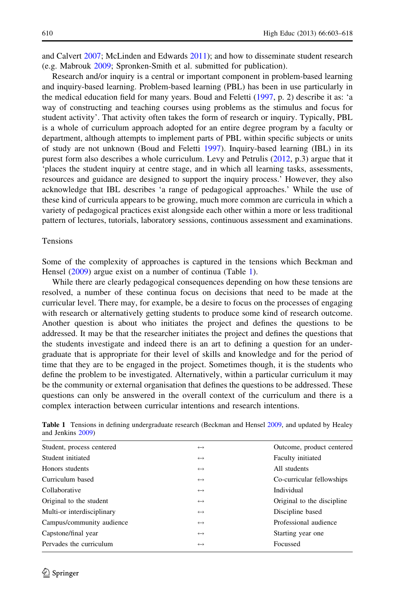and Calvert [2007](#page-14-0); McLinden and Edwards [2011](#page-15-0)); and how to disseminate student research (e.g. Mabrouk [2009;](#page-15-0) Spronken-Smith et al. submitted for publication).

Research and/or inquiry is a central or important component in problem-based learning and inquiry-based learning. Problem-based learning (PBL) has been in use particularly in the medical education field for many years. Boud and Feletti [\(1997](#page-14-0), p. 2) describe it as: 'a way of constructing and teaching courses using problems as the stimulus and focus for student activity'. That activity often takes the form of research or inquiry. Typically, PBL is a whole of curriculum approach adopted for an entire degree program by a faculty or department, although attempts to implement parts of PBL within specific subjects or units of study are not unknown (Boud and Feletti [1997\)](#page-14-0). Inquiry-based learning (IBL) in its purest form also describes a whole curriculum. Levy and Petrulis [\(2012](#page-15-0), p.3) argue that it 'places the student inquiry at centre stage, and in which all learning tasks, assessments, resources and guidance are designed to support the inquiry process.' However, they also acknowledge that IBL describes 'a range of pedagogical approaches.' While the use of these kind of curricula appears to be growing, much more common are curricula in which a variety of pedagogical practices exist alongside each other within a more or less traditional pattern of lectures, tutorials, laboratory sessions, continuous assessment and examinations.

#### Tensions

Some of the complexity of approaches is captured in the tensions which Beckman and Hensel [\(2009](#page-14-0)) argue exist on a number of continua (Table 1).

While there are clearly pedagogical consequences depending on how these tensions are resolved, a number of these continua focus on decisions that need to be made at the curricular level. There may, for example, be a desire to focus on the processes of engaging with research or alternatively getting students to produce some kind of research outcome. Another question is about who initiates the project and defines the questions to be addressed. It may be that the researcher initiates the project and defines the questions that the students investigate and indeed there is an art to defining a question for an undergraduate that is appropriate for their level of skills and knowledge and for the period of time that they are to be engaged in the project. Sometimes though, it is the students who define the problem to be investigated. Alternatively, within a particular curriculum it may be the community or external organisation that defines the questions to be addressed. These questions can only be answered in the overall context of the curriculum and there is a complex interaction between curricular intentions and research intentions.

| Student, process centered  | $\leftrightarrow$ | Outcome, product centered  |
|----------------------------|-------------------|----------------------------|
| Student initiated          | $\leftrightarrow$ | Faculty initiated          |
| Honors students            | $\leftrightarrow$ | All students               |
| Curriculum based           | $\leftrightarrow$ | Co-curricular fellowships  |
| Collaborative              | $\leftrightarrow$ | Individual                 |
| Original to the student    | $\leftrightarrow$ | Original to the discipline |
| Multi-or interdisciplinary | $\leftrightarrow$ | Discipline based           |
| Campus/community audience  | $\leftrightarrow$ | Professional audience      |
| Capstone/final year        | $\leftrightarrow$ | Starting year one          |
| Pervades the curriculum    | $\leftrightarrow$ | Focussed                   |

Table 1 Tensions in defining undergraduate research (Beckman and Hensel [2009,](#page-14-0) and updated by Healey and Jenkins [2009](#page-14-0))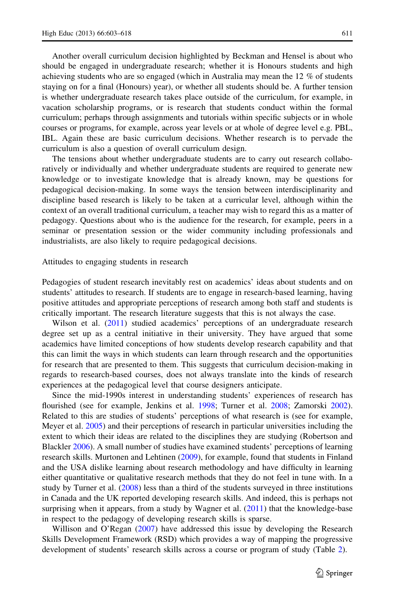Another overall curriculum decision highlighted by Beckman and Hensel is about who should be engaged in undergraduate research; whether it is Honours students and high achieving students who are so engaged (which in Australia may mean the 12 % of students staying on for a final (Honours) year), or whether all students should be. A further tension is whether undergraduate research takes place outside of the curriculum, for example, in vacation scholarship programs, or is research that students conduct within the formal curriculum; perhaps through assignments and tutorials within specific subjects or in whole courses or programs, for example, across year levels or at whole of degree level e.g. PBL, IBL. Again these are basic curriculum decisions. Whether research is to pervade the curriculum is also a question of overall curriculum design.

The tensions about whether undergraduate students are to carry out research collaboratively or individually and whether undergraduate students are required to generate new knowledge or to investigate knowledge that is already known, may be questions for pedagogical decision-making. In some ways the tension between interdisciplinarity and discipline based research is likely to be taken at a curricular level, although within the context of an overall traditional curriculum, a teacher may wish to regard this as a matter of pedagogy. Questions about who is the audience for the research, for example, peers in a seminar or presentation session or the wider community including professionals and industrialists, are also likely to require pedagogical decisions.

Attitudes to engaging students in research

Pedagogies of student research inevitably rest on academics' ideas about students and on students' attitudes to research. If students are to engage in research-based learning, having positive attitudes and appropriate perceptions of research among both staff and students is critically important. The research literature suggests that this is not always the case.

Wilson et al. ([2011](#page-15-0)) studied academics' perceptions of an undergraduate research degree set up as a central initiative in their university. They have argued that some academics have limited conceptions of how students develop research capability and that this can limit the ways in which students can learn through research and the opportunities for research that are presented to them. This suggests that curriculum decision-making in regards to research-based courses, does not always translate into the kinds of research experiences at the pedagogical level that course designers anticipate.

Since the mid-1990s interest in understanding students' experiences of research has flourished (see for example, Jenkins et al. [1998](#page-14-0); Turner et al. [2008](#page-15-0); Zamorski [2002](#page-15-0)). Related to this are studies of students' perceptions of what research is (see for example, Meyer et al. [2005](#page-15-0)) and their perceptions of research in particular universities including the extent to which their ideas are related to the disciplines they are studying (Robertson and Blackler [2006](#page-15-0)). A small number of studies have examined students' perceptions of learning research skills. Murtonen and Lehtinen [\(2009](#page-15-0)), for example, found that students in Finland and the USA dislike learning about research methodology and have difficulty in learning either quantitative or qualitative research methods that they do not feel in tune with. In a study by Turner et al. [\(2008](#page-15-0)) less than a third of the students surveyed in three institutions in Canada and the UK reported developing research skills. And indeed, this is perhaps not surprising when it appears, from a study by Wagner et al. ([2011\)](#page-15-0) that the knowledge-base in respect to the pedagogy of developing research skills is sparse.

Willison and O'Regan ([2007](#page-15-0)) have addressed this issue by developing the Research Skills Development Framework (RSD) which provides a way of mapping the progressive development of students' research skills across a course or program of study (Table [2](#page-9-0)).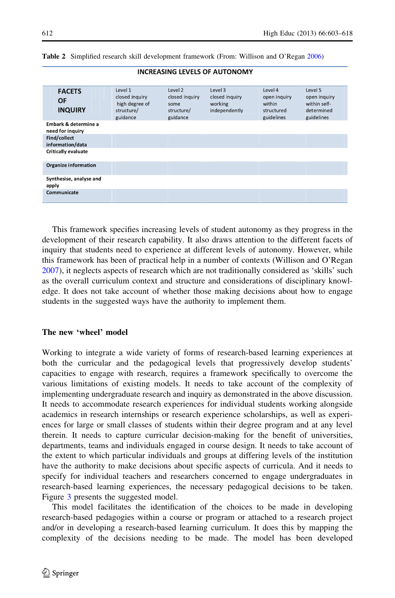| <b>FACETS</b><br>OF<br><b>INQUIRY</b>    | Level 1<br>closed inquiry<br>high degree of<br>structure/<br>guidance | Level 2<br>closed inquiry<br>some<br>structure/<br>guidance | Level 3<br>closed inquiry<br>working<br>independently | Level 4<br>open inquiry<br>within<br>structured<br>guidelines | Level 5<br>open inquiry<br>within self-<br>determined<br>guidelines |
|------------------------------------------|-----------------------------------------------------------------------|-------------------------------------------------------------|-------------------------------------------------------|---------------------------------------------------------------|---------------------------------------------------------------------|
| Embark & determine a<br>need for inquiry |                                                                       |                                                             |                                                       |                                                               |                                                                     |
| Find/collect<br>information/data         |                                                                       |                                                             |                                                       |                                                               |                                                                     |
| Critically evaluate                      |                                                                       |                                                             |                                                       |                                                               |                                                                     |
| Organize information                     |                                                                       |                                                             |                                                       |                                                               |                                                                     |
| Synthesise, analyse and<br>apply         |                                                                       |                                                             |                                                       |                                                               |                                                                     |
| Communicate                              |                                                                       |                                                             |                                                       |                                                               |                                                                     |

## <span id="page-9-0"></span>Table 2 Simplified research skill development framework (From: Willison and O'Regan [2006\)](#page-15-0)

This framework specifies increasing levels of student autonomy as they progress in the development of their research capability. It also draws attention to the different facets of inquiry that students need to experience at different levels of autonomy. However, while this framework has been of practical help in a number of contexts (Willison and O'Regan [2007\)](#page-15-0), it neglects aspects of research which are not traditionally considered as 'skills' such as the overall curriculum context and structure and considerations of disciplinary knowledge. It does not take account of whether those making decisions about how to engage students in the suggested ways have the authority to implement them.

## **INCREASING LEVELS OF AUTONOMY**

#### The new 'wheel' model

Working to integrate a wide variety of forms of research-based learning experiences at both the curricular and the pedagogical levels that progressively develop students' capacities to engage with research, requires a framework specifically to overcome the various limitations of existing models. It needs to take account of the complexity of implementing undergraduate research and inquiry as demonstrated in the above discussion. It needs to accommodate research experiences for individual students working alongside academics in research internships or research experience scholarships, as well as experiences for large or small classes of students within their degree program and at any level therein. It needs to capture curricular decision-making for the benefit of universities, departments, teams and individuals engaged in course design. It needs to take account of the extent to which particular individuals and groups at differing levels of the institution have the authority to make decisions about specific aspects of curricula. And it needs to specify for individual teachers and researchers concerned to engage undergraduates in research-based learning experiences, the necessary pedagogical decisions to be taken. Figure [3](#page-10-0) presents the suggested model.

This model facilitates the identification of the choices to be made in developing research-based pedagogies within a course or program or attached to a research project and/or in developing a research-based learning curriculum. It does this by mapping the complexity of the decisions needing to be made. The model has been developed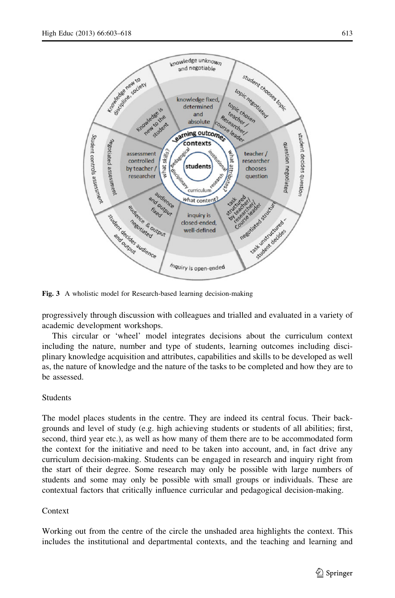<span id="page-10-0"></span>

Fig. 3 A wholistic model for Research-based learning decision-making

progressively through discussion with colleagues and trialled and evaluated in a variety of academic development workshops.

This circular or 'wheel' model integrates decisions about the curriculum context including the nature, number and type of students, learning outcomes including disciplinary knowledge acquisition and attributes, capabilities and skills to be developed as well as, the nature of knowledge and the nature of the tasks to be completed and how they are to be assessed.

## Students

The model places students in the centre. They are indeed its central focus. Their backgrounds and level of study (e.g. high achieving students or students of all abilities; first, second, third year etc.), as well as how many of them there are to be accommodated form the context for the initiative and need to be taken into account, and, in fact drive any curriculum decision-making. Students can be engaged in research and inquiry right from the start of their degree. Some research may only be possible with large numbers of students and some may only be possible with small groups or individuals. These are contextual factors that critically influence curricular and pedagogical decision-making.

# Context

Working out from the centre of the circle the unshaded area highlights the context. This includes the institutional and departmental contexts, and the teaching and learning and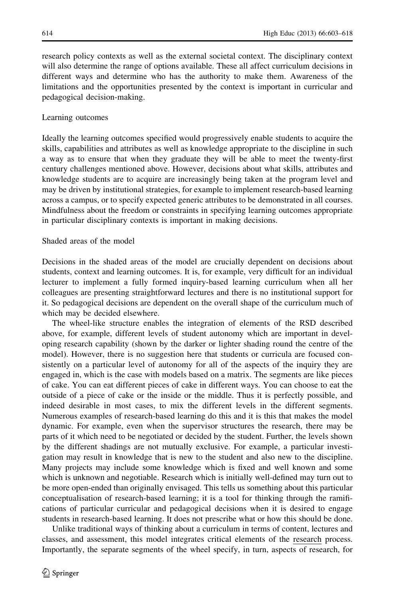research policy contexts as well as the external societal context. The disciplinary context will also determine the range of options available. These all affect curriculum decisions in different ways and determine who has the authority to make them. Awareness of the limitations and the opportunities presented by the context is important in curricular and pedagogical decision-making.

## Learning outcomes

Ideally the learning outcomes specified would progressively enable students to acquire the skills, capabilities and attributes as well as knowledge appropriate to the discipline in such a way as to ensure that when they graduate they will be able to meet the twenty-first century challenges mentioned above. However, decisions about what skills, attributes and knowledge students are to acquire are increasingly being taken at the program level and may be driven by institutional strategies, for example to implement research-based learning across a campus, or to specify expected generic attributes to be demonstrated in all courses. Mindfulness about the freedom or constraints in specifying learning outcomes appropriate in particular disciplinary contexts is important in making decisions.

#### Shaded areas of the model

Decisions in the shaded areas of the model are crucially dependent on decisions about students, context and learning outcomes. It is, for example, very difficult for an individual lecturer to implement a fully formed inquiry-based learning curriculum when all her colleagues are presenting straightforward lectures and there is no institutional support for it. So pedagogical decisions are dependent on the overall shape of the curriculum much of which may be decided elsewhere.

The wheel-like structure enables the integration of elements of the RSD described above, for example, different levels of student autonomy which are important in developing research capability (shown by the darker or lighter shading round the centre of the model). However, there is no suggestion here that students or curricula are focused consistently on a particular level of autonomy for all of the aspects of the inquiry they are engaged in, which is the case with models based on a matrix. The segments are like pieces of cake. You can eat different pieces of cake in different ways. You can choose to eat the outside of a piece of cake or the inside or the middle. Thus it is perfectly possible, and indeed desirable in most cases, to mix the different levels in the different segments. Numerous examples of research-based learning do this and it is this that makes the model dynamic. For example, even when the supervisor structures the research, there may be parts of it which need to be negotiated or decided by the student. Further, the levels shown by the different shadings are not mutually exclusive. For example, a particular investigation may result in knowledge that is new to the student and also new to the discipline. Many projects may include some knowledge which is fixed and well known and some which is unknown and negotiable. Research which is initially well-defined may turn out to be more open-ended than originally envisaged. This tells us something about this particular conceptualisation of research-based learning; it is a tool for thinking through the ramifications of particular curricular and pedagogical decisions when it is desired to engage students in research-based learning. It does not prescribe what or how this should be done.

Unlike traditional ways of thinking about a curriculum in terms of content, lectures and classes, and assessment, this model integrates critical elements of the research process. Importantly, the separate segments of the wheel specify, in turn, aspects of research, for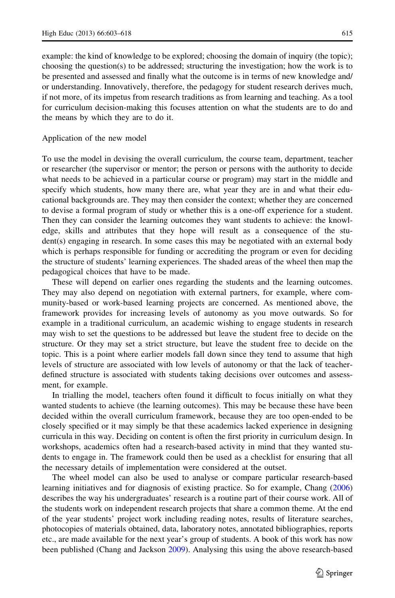example: the kind of knowledge to be explored; choosing the domain of inquiry (the topic); choosing the question(s) to be addressed; structuring the investigation; how the work is to be presented and assessed and finally what the outcome is in terms of new knowledge and/ or understanding. Innovatively, therefore, the pedagogy for student research derives much, if not more, of its impetus from research traditions as from learning and teaching. As a tool for curriculum decision-making this focuses attention on what the students are to do and the means by which they are to do it.

#### Application of the new model

To use the model in devising the overall curriculum, the course team, department, teacher or researcher (the supervisor or mentor; the person or persons with the authority to decide what needs to be achieved in a particular course or program) may start in the middle and specify which students, how many there are, what year they are in and what their educational backgrounds are. They may then consider the context; whether they are concerned to devise a formal program of study or whether this is a one-off experience for a student. Then they can consider the learning outcomes they want students to achieve: the knowledge, skills and attributes that they hope will result as a consequence of the student(s) engaging in research. In some cases this may be negotiated with an external body which is perhaps responsible for funding or accrediting the program or even for deciding the structure of students' learning experiences. The shaded areas of the wheel then map the pedagogical choices that have to be made.

These will depend on earlier ones regarding the students and the learning outcomes. They may also depend on negotiation with external partners, for example, where community-based or work-based learning projects are concerned. As mentioned above, the framework provides for increasing levels of autonomy as you move outwards. So for example in a traditional curriculum, an academic wishing to engage students in research may wish to set the questions to be addressed but leave the student free to decide on the structure. Or they may set a strict structure, but leave the student free to decide on the topic. This is a point where earlier models fall down since they tend to assume that high levels of structure are associated with low levels of autonomy or that the lack of teacherdefined structure is associated with students taking decisions over outcomes and assessment, for example.

In trialling the model, teachers often found it difficult to focus initially on what they wanted students to achieve (the learning outcomes). This may be because these have been decided within the overall curriculum framework, because they are too open-ended to be closely specified or it may simply be that these academics lacked experience in designing curricula in this way. Deciding on content is often the first priority in curriculum design. In workshops, academics often had a research-based activity in mind that they wanted students to engage in. The framework could then be used as a checklist for ensuring that all the necessary details of implementation were considered at the outset.

The wheel model can also be used to analyse or compare particular research-based learning initiatives and for diagnosis of existing practice. So for example, Chang ([2006](#page-14-0)) describes the way his undergraduates' research is a routine part of their course work. All of the students work on independent research projects that share a common theme. At the end of the year students' project work including reading notes, results of literature searches, photocopies of materials obtained, data, laboratory notes, annotated bibliographies, reports etc., are made available for the next year's group of students. A book of this work has now been published (Chang and Jackson [2009](#page-14-0)). Analysing this using the above research-based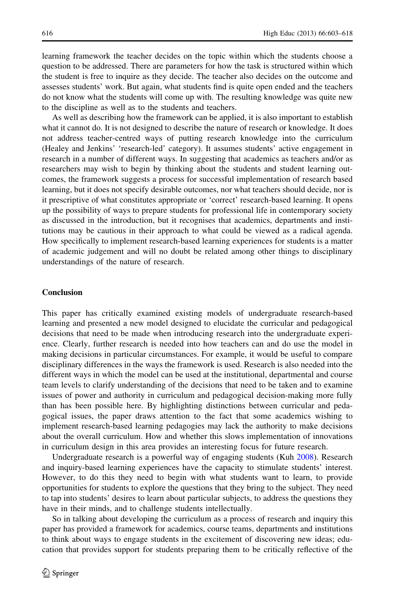learning framework the teacher decides on the topic within which the students choose a question to be addressed. There are parameters for how the task is structured within which the student is free to inquire as they decide. The teacher also decides on the outcome and assesses students' work. But again, what students find is quite open ended and the teachers do not know what the students will come up with. The resulting knowledge was quite new to the discipline as well as to the students and teachers.

As well as describing how the framework can be applied, it is also important to establish what it cannot do. It is not designed to describe the nature of research or knowledge. It does not address teacher-centred ways of putting research knowledge into the curriculum (Healey and Jenkins' 'research-led' category). It assumes students' active engagement in research in a number of different ways. In suggesting that academics as teachers and/or as researchers may wish to begin by thinking about the students and student learning outcomes, the framework suggests a process for successful implementation of research based learning, but it does not specify desirable outcomes, nor what teachers should decide, nor is it prescriptive of what constitutes appropriate or 'correct' research-based learning. It opens up the possibility of ways to prepare students for professional life in contemporary society as discussed in the introduction, but it recognises that academics, departments and institutions may be cautious in their approach to what could be viewed as a radical agenda. How specifically to implement research-based learning experiences for students is a matter of academic judgement and will no doubt be related among other things to disciplinary understandings of the nature of research.

## **Conclusion**

This paper has critically examined existing models of undergraduate research-based learning and presented a new model designed to elucidate the curricular and pedagogical decisions that need to be made when introducing research into the undergraduate experience. Clearly, further research is needed into how teachers can and do use the model in making decisions in particular circumstances. For example, it would be useful to compare disciplinary differences in the ways the framework is used. Research is also needed into the different ways in which the model can be used at the institutional, departmental and course team levels to clarify understanding of the decisions that need to be taken and to examine issues of power and authority in curriculum and pedagogical decision-making more fully than has been possible here. By highlighting distinctions between curricular and pedagogical issues, the paper draws attention to the fact that some academics wishing to implement research-based learning pedagogies may lack the authority to make decisions about the overall curriculum. How and whether this slows implementation of innovations in curriculum design in this area provides an interesting focus for future research.

Undergraduate research is a powerful way of engaging students (Kuh [2008](#page-15-0)). Research and inquiry-based learning experiences have the capacity to stimulate students' interest. However, to do this they need to begin with what students want to learn, to provide opportunities for students to explore the questions that they bring to the subject. They need to tap into students' desires to learn about particular subjects, to address the questions they have in their minds, and to challenge students intellectually.

So in talking about developing the curriculum as a process of research and inquiry this paper has provided a framework for academics, course teams, departments and institutions to think about ways to engage students in the excitement of discovering new ideas; education that provides support for students preparing them to be critically reflective of the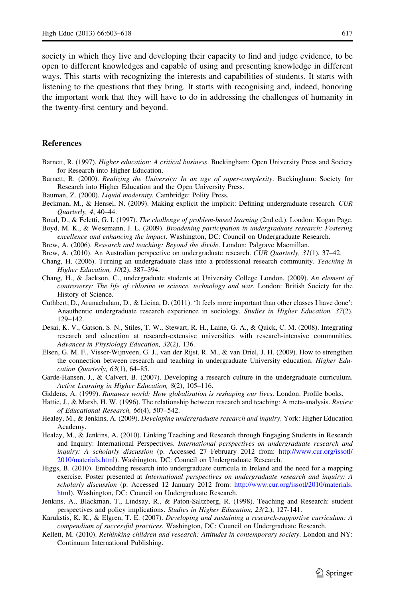<span id="page-14-0"></span>society in which they live and developing their capacity to find and judge evidence, to be open to different knowledges and capable of using and presenting knowledge in different ways. This starts with recognizing the interests and capabilities of students. It starts with listening to the questions that they bring. It starts with recognising and, indeed, honoring the important work that they will have to do in addressing the challenges of humanity in the twenty-first century and beyond.

## **References**

- Barnett, R. (1997). Higher education: A critical business. Buckingham: Open University Press and Society for Research into Higher Education.
- Barnett, R. (2000). Realizing the University: In an age of super-complexity. Buckingham: Society for Research into Higher Education and the Open University Press.
- Bauman, Z. (2000). Liquid modernity. Cambridge: Polity Press.
- Beckman, M., & Hensel, N. (2009). Making explicit the implicit: Defining undergraduate research. CUR Quarterly, 4, 40–44.
- Boud, D., & Feletti, G. I. (1997). The challenge of problem-based learning (2nd ed.). London: Kogan Page.
- Boyd, M. K., & Wesemann, J. L. (2009). Broadening participation in undergraduate research: Fostering excellence and enhancing the impact. Washington, DC: Council on Undergraduate Research.
- Brew, A. (2006). Research and teaching: Beyond the divide. London: Palgrave Macmillan.
- Brew, A. (2010). An Australian perspective on undergraduate research. CUR Quarterly, 31(1), 37–42.
- Chang, H. (2006). Turning an undergraduate class into a professional research community. Teaching in Higher Education, 10(2), 387–394.
- Chang, H., & Jackson, C., undergraduate students at University College London. (2009). An element of controversy: The life of chlorine in science, technology and war. London: British Society for the History of Science.
- Cuthbert, D., Arunachalam, D., & Licina, D. (2011). 'It feels more important than other classes I have done': Anauthentic undergraduate research experience in sociology. Studies in Higher Education, 37(2), 129–142.
- Desai, K. V., Gatson, S. N., Stiles, T. W., Stewart, R. H., Laine, G. A., & Quick, C. M. (2008). Integrating research and education at research-extensive universities with research-intensive communities. Advances in Physiology Education, 32(2), 136.
- Elsen, G. M. F., Visser-Wijnveen, G. J., van der Rijst, R. M., & van Driel, J. H. (2009). How to strengthen the connection between research and teaching in undergraduate University education. Higher Education Quarterly, 63(1), 64–85.
- Garde-Hansen, J., & Calvert, B. (2007). Developing a research culture in the undergraduate curriculum. Active Learning in Higher Education, 8(2), 105–116.
- Giddens, A. (1999). Runaway world: How globalisation is reshaping our lives. London: Profile books.
- Hattie, J., & Marsh, H. W. (1996). The relationship between research and teaching: A meta-analysis. Review of Educational Research, 66(4), 507–542.
- Healey, M., & Jenkins, A. (2009). Developing undergraduate research and inquiry. York: Higher Education Academy.
- Healey, M., & Jenkins, A. (2010). Linking Teaching and Research through Engaging Students in Research and Inquiry: International Perspectives. International perspectives on undergraduate research and inquiry: A scholarly discussion (p. Accessed 27 February 2012 from: [http://www.cur.org/issotl/](http://www.cur.org/issotl/2010/materials.html) [2010/materials.html\)](http://www.cur.org/issotl/2010/materials.html). Washington, DC: Council on Undergraduate Research.
- Higgs, B. (2010). Embedding research into undergraduate curricula in Ireland and the need for a mapping exercise. Poster presented at International perspectives on undergraduate research and inquiry: A scholarly discussion (p. Accessed 12 January 2012 from: [http://www.cur.org/issotl/2010/materials.](http://www.cur.org/issotl/2010/materials.html) [html](http://www.cur.org/issotl/2010/materials.html)). Washington, DC: Council on Undergraduate Research.
- Jenkins, A., Blackman, T., Lindsay, R., & Paton-Saltzberg, R. (1998). Teaching and Research: student perspectives and policy implications. Studies in Higher Education, 23(2,), 127-141.
- Karukstis, K. K., & Elgren, T. E. (2007). Developing and sustaining a research-supportive curriculum: A compendium of successful practices. Washington, DC: Council on Undergraduate Research.
- Kellett, M. (2010). Rethinking children and research: Attitudes in contemporary society. London and NY: Continuum International Publishing.